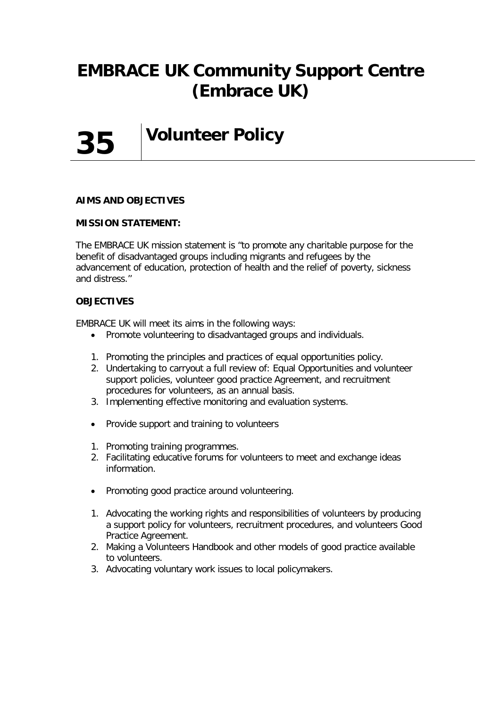# **EMBRACE UK Community Support Centre (Embrace UK)**



**Volunteer Policy**

#### **AIMS AND OBJECTIVES**

#### **MISSION STATEMENT:**

The EMBRACE UK mission statement is "to promote any charitable purpose for the benefit of disadvantaged groups including migrants and refugees by the advancement of education, protection of health and the relief of poverty, sickness and distress.''

#### **OBJECTIVES**

EMBRACE UK will meet its aims in the following ways:

- Promote volunteering to disadvantaged groups and individuals.
- 1. Promoting the principles and practices of equal opportunities policy.
- 2. Undertaking to carryout a full review of: Equal Opportunities and volunteer support policies, volunteer good practice Agreement, and recruitment procedures for volunteers, as an annual basis.
- 3. Implementing effective monitoring and evaluation systems.
- Provide support and training to volunteers
- 1. Promoting training programmes.
- 2. Facilitating educative forums for volunteers to meet and exchange ideas information.
- Promoting good practice around volunteering.
- 1. Advocating the working rights and responsibilities of volunteers by producing a support policy for volunteers, recruitment procedures, and volunteers Good Practice Agreement.
- 2. Making a Volunteers Handbook and other models of good practice available to volunteers.
- 3. Advocating voluntary work issues to local policymakers.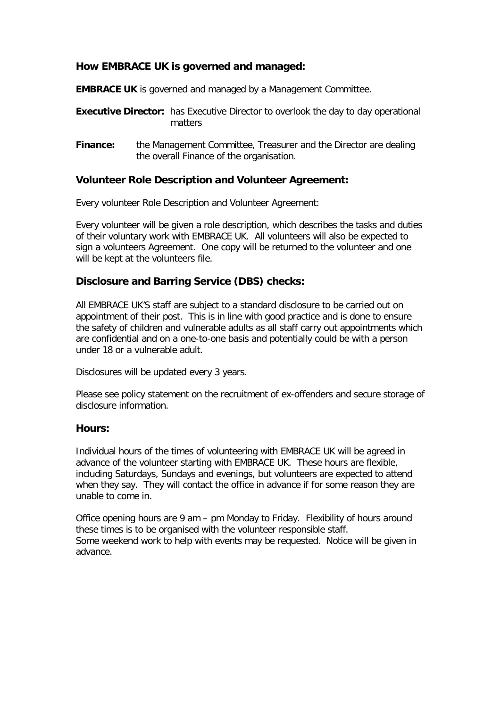## **How EMBRACE UK is governed and managed:**

**EMBRACE UK** is governed and managed by a Management Committee.

- **Executive Director:** has Executive Director to overlook the day to day operational matters
- **Finance:** the Management Committee, Treasurer and the Director are dealing the overall Finance of the organisation.

## **Volunteer Role Description and Volunteer Agreement:**

Every volunteer Role Description and Volunteer Agreement:

Every volunteer will be given a role description, which describes the tasks and duties of their voluntary work with EMBRACE UK. All volunteers will also be expected to sign a volunteers Agreement. One copy will be returned to the volunteer and one will be kept at the volunteers file.

## **Disclosure and Barring Service (DBS) checks:**

All EMBRACE UK'S staff are subject to a standard disclosure to be carried out on appointment of their post. This is in line with good practice and is done to ensure the safety of children and vulnerable adults as all staff carry out appointments which are confidential and on a one-to-one basis and potentially could be with a person under 18 or a vulnerable adult.

Disclosures will be updated every 3 years.

Please see policy statement on the recruitment of ex-offenders and secure storage of disclosure information.

#### **Hours:**

Individual hours of the times of volunteering with EMBRACE UK will be agreed in advance of the volunteer starting with EMBRACE UK. These hours are flexible, including Saturdays, Sundays and evenings, but volunteers are expected to attend when they say. They will contact the office in advance if for some reason they are unable to come in.

Office opening hours are 9 am – pm Monday to Friday. Flexibility of hours around these times is to be organised with the volunteer responsible staff. Some weekend work to help with events may be requested. Notice will be given in advance.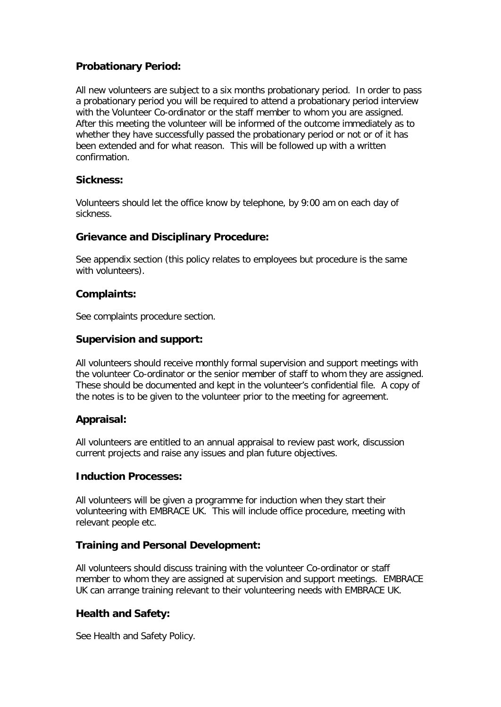## **Probationary Period:**

All new volunteers are subject to a six months probationary period. In order to pass a probationary period you will be required to attend a probationary period interview with the Volunteer Co-ordinator or the staff member to whom you are assigned. After this meeting the volunteer will be informed of the outcome immediately as to whether they have successfully passed the probationary period or not or of it has been extended and for what reason. This will be followed up with a written confirmation.

## **Sickness:**

Volunteers should let the office know by telephone, by 9:00 am on each day of sickness.

#### **Grievance and Disciplinary Procedure:**

See appendix section (this policy relates to employees but procedure is the same with volunteers).

#### **Complaints:**

See complaints procedure section.

#### **Supervision and support:**

All volunteers should receive monthly formal supervision and support meetings with the volunteer Co-ordinator or the senior member of staff to whom they are assigned. These should be documented and kept in the volunteer's confidential file. A copy of the notes is to be given to the volunteer prior to the meeting for agreement.

## **Appraisal:**

All volunteers are entitled to an annual appraisal to review past work, discussion current projects and raise any issues and plan future objectives.

#### **Induction Processes:**

All volunteers will be given a programme for induction when they start their volunteering with EMBRACE UK. This will include office procedure, meeting with relevant people etc.

## **Training and Personal Development:**

All volunteers should discuss training with the volunteer Co-ordinator or staff member to whom they are assigned at supervision and support meetings. EMBRACE UK can arrange training relevant to their volunteering needs with EMBRACE UK.

## **Health and Safety:**

See Health and Safety Policy.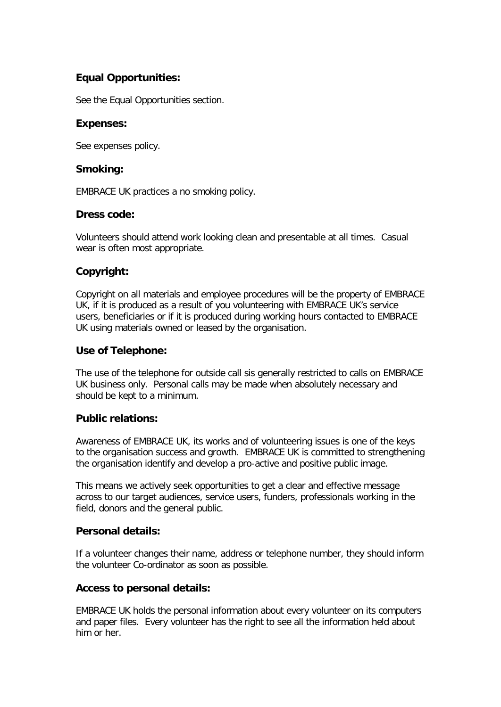## **Equal Opportunities:**

See the Equal Opportunities section.

#### **Expenses:**

See expenses policy.

#### **Smoking:**

EMBRACE UK practices a no smoking policy.

## **Dress code:**

Volunteers should attend work looking clean and presentable at all times. Casual wear is often most appropriate.

## **Copyright:**

Copyright on all materials and employee procedures will be the property of EMBRACE UK, if it is produced as a result of you volunteering with EMBRACE UK's service users, beneficiaries or if it is produced during working hours contacted to EMBRACE UK using materials owned or leased by the organisation.

## **Use of Telephone:**

The use of the telephone for outside call sis generally restricted to calls on EMBRACE UK business only. Personal calls may be made when absolutely necessary and should be kept to a minimum.

## **Public relations:**

Awareness of EMBRACE UK, its works and of volunteering issues is one of the keys to the organisation success and growth. EMBRACE UK is committed to strengthening the organisation identify and develop a pro-active and positive public image.

This means we actively seek opportunities to get a clear and effective message across to our target audiences, service users, funders, professionals working in the field, donors and the general public.

## **Personal details:**

If a volunteer changes their name, address or telephone number, they should inform the volunteer Co-ordinator as soon as possible.

## **Access to personal details:**

EMBRACE UK holds the personal information about every volunteer on its computers and paper files. Every volunteer has the right to see all the information held about him or her.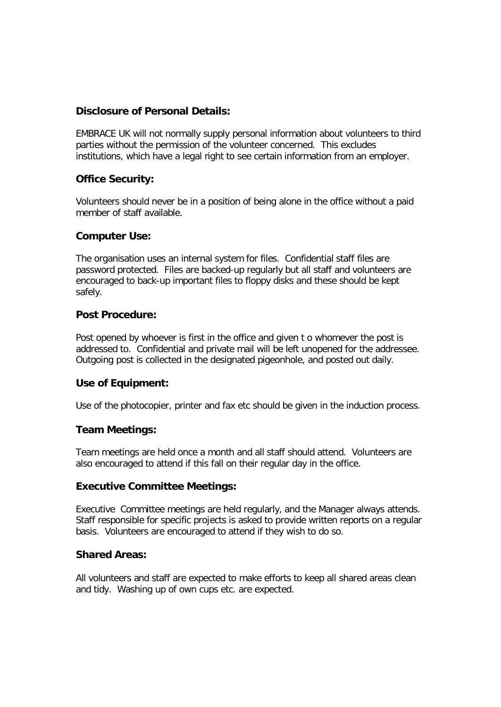## **Disclosure of Personal Details:**

EMBRACE UK will not normally supply personal information about volunteers to third parties without the permission of the volunteer concerned. This excludes institutions, which have a legal right to see certain information from an employer.

## **Office Security:**

Volunteers should never be in a position of being alone in the office without a paid member of staff available.

#### **Computer Use:**

The organisation uses an internal system for files. Confidential staff files are password protected. Files are backed-up regularly but all staff and volunteers are encouraged to back-up important files to floppy disks and these should be kept safely.

#### **Post Procedure:**

Post opened by whoever is first in the office and given t o whomever the post is addressed to. Confidential and private mail will be left unopened for the addressee. Outgoing post is collected in the designated pigeonhole, and posted out daily.

## **Use of Equipment:**

Use of the photocopier, printer and fax etc should be given in the induction process.

## **Team Meetings:**

Team meetings are held once a month and all staff should attend. Volunteers are also encouraged to attend if this fall on their regular day in the office.

#### **Executive Committee Meetings:**

Executive Committee meetings are held regularly, and the Manager always attends. Staff responsible for specific projects is asked to provide written reports on a regular basis. Volunteers are encouraged to attend if they wish to do so.

## **Shared Areas:**

All volunteers and staff are expected to make efforts to keep all shared areas clean and tidy. Washing up of own cups etc. are expected.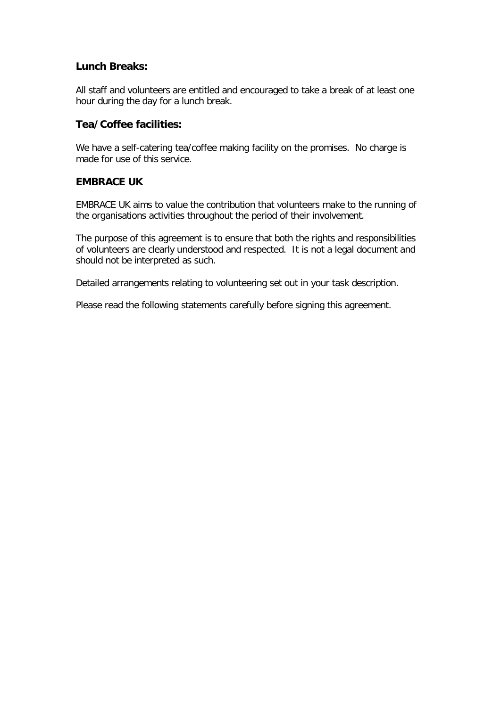## **Lunch Breaks:**

All staff and volunteers are entitled and encouraged to take a break of at least one hour during the day for a lunch break.

## **Tea/Coffee facilities:**

We have a self-catering tea/coffee making facility on the promises. No charge is made for use of this service.

## **EMBRACE UK**

EMBRACE UK aims to value the contribution that volunteers make to the running of the organisations activities throughout the period of their involvement.

The purpose of this agreement is to ensure that both the rights and responsibilities of volunteers are clearly understood and respected. It is not a legal document and should not be interpreted as such.

Detailed arrangements relating to volunteering set out in your task description.

Please read the following statements carefully before signing this agreement.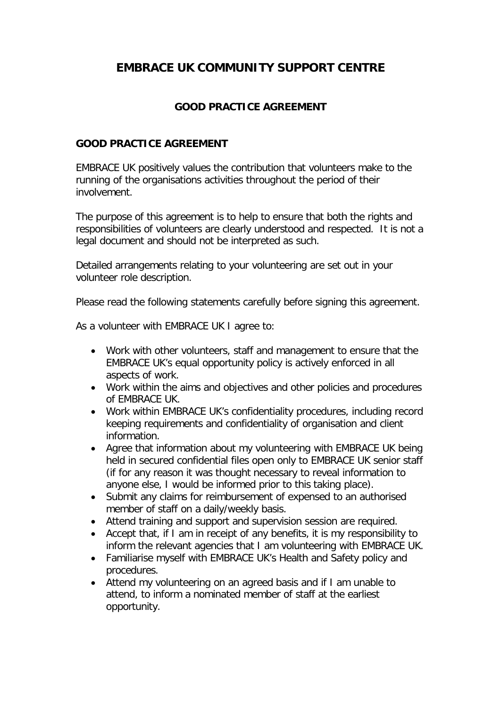## **EMBRACE UK COMMUNITY SUPPORT CENTRE**

## **GOOD PRACTICE AGREEMENT**

## **GOOD PRACTICE AGREEMENT**

EMBRACE UK positively values the contribution that volunteers make to the running of the organisations activities throughout the period of their involvement.

The purpose of this agreement is to help to ensure that both the rights and responsibilities of volunteers are clearly understood and respected. It is not a legal document and should not be interpreted as such.

Detailed arrangements relating to your volunteering are set out in your volunteer role description.

Please read the following statements carefully before signing this agreement.

As a volunteer with EMBRACE UK I agree to:

- Work with other volunteers, staff and management to ensure that the EMBRACE UK's equal opportunity policy is actively enforced in all aspects of work.
- Work within the aims and objectives and other policies and procedures of EMBRACE UK.
- Work within EMBRACE UK's confidentiality procedures, including record keeping requirements and confidentiality of organisation and client information.
- Agree that information about my volunteering with EMBRACE UK being held in secured confidential files open only to EMBRACE UK senior staff (if for any reason it was thought necessary to reveal information to anyone else, I would be informed prior to this taking place).
- Submit any claims for reimbursement of expensed to an authorised member of staff on a daily/weekly basis.
- Attend training and support and supervision session are required.
- Accept that, if I am in receipt of any benefits, it is my responsibility to inform the relevant agencies that I am volunteering with EMBRACE UK.
- Familiarise myself with EMBRACE UK's Health and Safety policy and procedures.
- Attend my volunteering on an agreed basis and if I am unable to attend, to inform a nominated member of staff at the earliest opportunity.